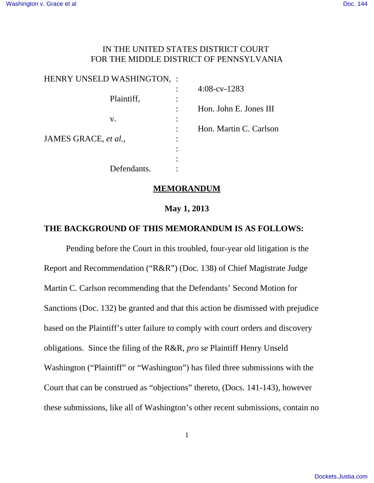# IN THE UNITED STATES DISTRICT COURT FOR THE MIDDLE DISTRICT OF PENNSYLVANIA

| HENRY UNSELD WASHINGTON, : |                |                        |
|----------------------------|----------------|------------------------|
|                            |                | $4:08$ -cv-1283        |
| Plaintiff,                 | ٠<br>$\bullet$ |                        |
|                            |                | Hon. John E. Jones III |
| V.                         | ٠<br>٠         |                        |
|                            | $\bullet$      | Hon. Martin C. Carlson |
| JAMES GRACE, et al.,       | ٠<br>$\bullet$ |                        |
|                            | ٠              |                        |
|                            |                |                        |
| Defendants.                |                |                        |
|                            |                |                        |

### **MEMORANDUM**

## **May 1, 2013**

## **THE BACKGROUND OF THIS MEMORANDUM IS AS FOLLOWS:**

Pending before the Court in this troubled, four-year old litigation is the Report and Recommendation ("R&R") (Doc. 138) of Chief Magistrate Judge Martin C. Carlson recommending that the Defendants' Second Motion for Sanctions (Doc. 132) be granted and that this action be dismissed with prejudice based on the Plaintiff's utter failure to comply with court orders and discovery obligations. Since the filing of the R&R, *pro se* Plaintiff Henry Unseld Washington ("Plaintiff" or "Washington") has filed three submissions with the Court that can be construed as "objections" thereto, (Docs. 141-143), however these submissions, like all of Washington's other recent submissions, contain no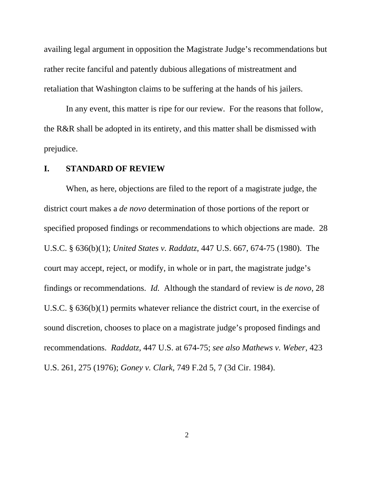availing legal argument in opposition the Magistrate Judge's recommendations but rather recite fanciful and patently dubious allegations of mistreatment and retaliation that Washington claims to be suffering at the hands of his jailers.

In any event, this matter is ripe for our review. For the reasons that follow, the R&R shall be adopted in its entirety, and this matter shall be dismissed with prejudice.

#### **I. STANDARD OF REVIEW**

When, as here, objections are filed to the report of a magistrate judge, the district court makes a *de novo* determination of those portions of the report or specified proposed findings or recommendations to which objections are made. 28 U.S.C. § 636(b)(1); *United States v. Raddatz*, 447 U.S. 667, 674-75 (1980). The court may accept, reject, or modify, in whole or in part, the magistrate judge's findings or recommendations. *Id.* Although the standard of review is *de novo*, 28 U.S.C. § 636(b)(1) permits whatever reliance the district court, in the exercise of sound discretion, chooses to place on a magistrate judge's proposed findings and recommendations. *Raddatz*, 447 U.S. at 674-75; *see also Mathews v. Weber*, 423 U.S. 261, 275 (1976); *Goney v. Clark*, 749 F.2d 5, 7 (3d Cir. 1984).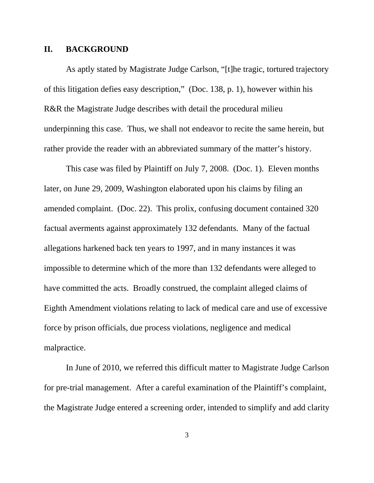#### **II. BACKGROUND**

As aptly stated by Magistrate Judge Carlson, "[t]he tragic, tortured trajectory of this litigation defies easy description," (Doc. 138, p. 1), however within his R&R the Magistrate Judge describes with detail the procedural milieu underpinning this case. Thus, we shall not endeavor to recite the same herein, but rather provide the reader with an abbreviated summary of the matter's history.

This case was filed by Plaintiff on July 7, 2008. (Doc. 1). Eleven months later, on June 29, 2009, Washington elaborated upon his claims by filing an amended complaint. (Doc. 22). This prolix, confusing document contained 320 factual averments against approximately 132 defendants. Many of the factual allegations harkened back ten years to 1997, and in many instances it was impossible to determine which of the more than 132 defendants were alleged to have committed the acts. Broadly construed, the complaint alleged claims of Eighth Amendment violations relating to lack of medical care and use of excessive force by prison officials, due process violations, negligence and medical malpractice.

In June of 2010, we referred this difficult matter to Magistrate Judge Carlson for pre-trial management. After a careful examination of the Plaintiff's complaint, the Magistrate Judge entered a screening order, intended to simplify and add clarity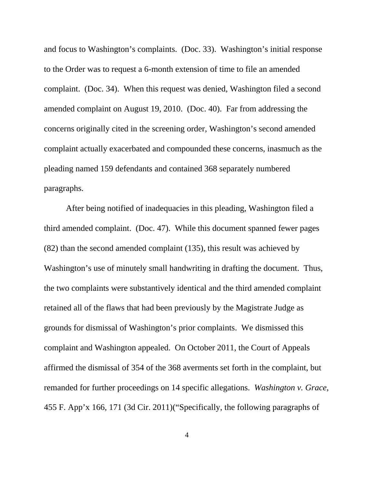and focus to Washington's complaints. (Doc. 33). Washington's initial response to the Order was to request a 6-month extension of time to file an amended complaint. (Doc. 34). When this request was denied, Washington filed a second amended complaint on August 19, 2010. (Doc. 40). Far from addressing the concerns originally cited in the screening order, Washington's second amended complaint actually exacerbated and compounded these concerns, inasmuch as the pleading named 159 defendants and contained 368 separately numbered paragraphs.

After being notified of inadequacies in this pleading, Washington filed a third amended complaint. (Doc. 47). While this document spanned fewer pages (82) than the second amended complaint (135), this result was achieved by Washington's use of minutely small handwriting in drafting the document. Thus, the two complaints were substantively identical and the third amended complaint retained all of the flaws that had been previously by the Magistrate Judge as grounds for dismissal of Washington's prior complaints. We dismissed this complaint and Washington appealed. On October 2011, the Court of Appeals affirmed the dismissal of 354 of the 368 averments set forth in the complaint, but remanded for further proceedings on 14 specific allegations. *Washington v. Grace*, 455 F. App'x 166, 171 (3d Cir. 2011)("Specifically, the following paragraphs of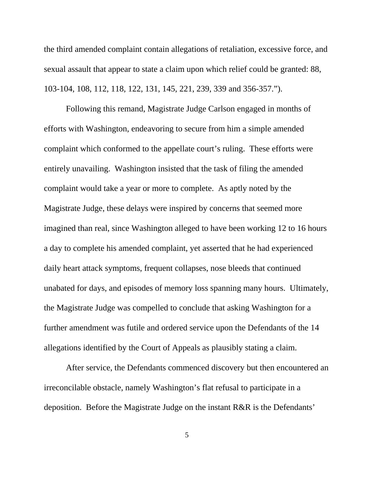the third amended complaint contain allegations of retaliation, excessive force, and sexual assault that appear to state a claim upon which relief could be granted: 88, 103-104, 108, 112, 118, 122, 131, 145, 221, 239, 339 and 356-357.").

Following this remand, Magistrate Judge Carlson engaged in months of efforts with Washington, endeavoring to secure from him a simple amended complaint which conformed to the appellate court's ruling. These efforts were entirely unavailing. Washington insisted that the task of filing the amended complaint would take a year or more to complete. As aptly noted by the Magistrate Judge, these delays were inspired by concerns that seemed more imagined than real, since Washington alleged to have been working 12 to 16 hours a day to complete his amended complaint, yet asserted that he had experienced daily heart attack symptoms, frequent collapses, nose bleeds that continued unabated for days, and episodes of memory loss spanning many hours. Ultimately, the Magistrate Judge was compelled to conclude that asking Washington for a further amendment was futile and ordered service upon the Defendants of the 14 allegations identified by the Court of Appeals as plausibly stating a claim.

After service, the Defendants commenced discovery but then encountered an irreconcilable obstacle, namely Washington's flat refusal to participate in a deposition. Before the Magistrate Judge on the instant R&R is the Defendants'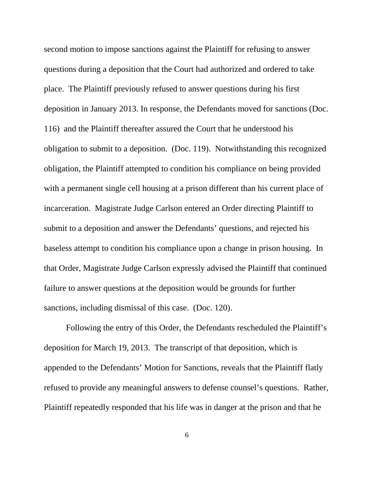second motion to impose sanctions against the Plaintiff for refusing to answer questions during a deposition that the Court had authorized and ordered to take place. The Plaintiff previously refused to answer questions during his first deposition in January 2013. In response, the Defendants moved for sanctions (Doc. 116) and the Plaintiff thereafter assured the Court that he understood his obligation to submit to a deposition. (Doc. 119). Notwithstanding this recognized obligation, the Plaintiff attempted to condition his compliance on being provided with a permanent single cell housing at a prison different than his current place of incarceration. Magistrate Judge Carlson entered an Order directing Plaintiff to submit to a deposition and answer the Defendants' questions, and rejected his baseless attempt to condition his compliance upon a change in prison housing. In that Order, Magistrate Judge Carlson expressly advised the Plaintiff that continued failure to answer questions at the deposition would be grounds for further sanctions, including dismissal of this case. (Doc. 120).

Following the entry of this Order, the Defendants rescheduled the Plaintiff's deposition for March 19, 2013. The transcript of that deposition, which is appended to the Defendants' Motion for Sanctions, reveals that the Plaintiff flatly refused to provide any meaningful answers to defense counsel's questions. Rather, Plaintiff repeatedly responded that his life was in danger at the prison and that he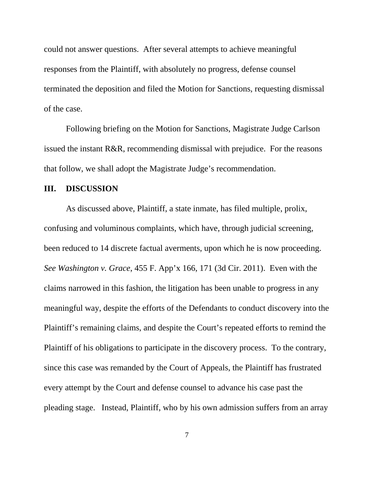could not answer questions. After several attempts to achieve meaningful responses from the Plaintiff, with absolutely no progress, defense counsel terminated the deposition and filed the Motion for Sanctions, requesting dismissal of the case.

Following briefing on the Motion for Sanctions, Magistrate Judge Carlson issued the instant R&R, recommending dismissal with prejudice. For the reasons that follow, we shall adopt the Magistrate Judge's recommendation.

#### **III. DISCUSSION**

As discussed above, Plaintiff, a state inmate, has filed multiple, prolix, confusing and voluminous complaints, which have, through judicial screening, been reduced to 14 discrete factual averments, upon which he is now proceeding. *See Washington v. Grace*, 455 F. App'x 166, 171 (3d Cir. 2011). Even with the claims narrowed in this fashion, the litigation has been unable to progress in any meaningful way, despite the efforts of the Defendants to conduct discovery into the Plaintiff's remaining claims, and despite the Court's repeated efforts to remind the Plaintiff of his obligations to participate in the discovery process. To the contrary, since this case was remanded by the Court of Appeals, the Plaintiff has frustrated every attempt by the Court and defense counsel to advance his case past the pleading stage. Instead, Plaintiff, who by his own admission suffers from an array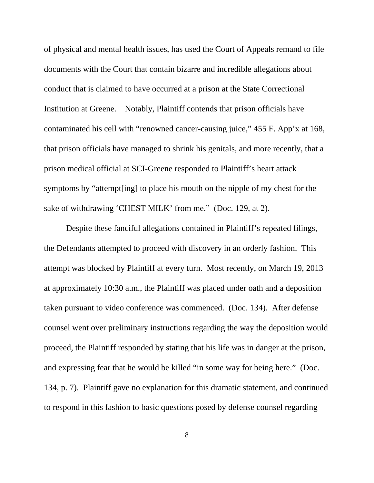of physical and mental health issues, has used the Court of Appeals remand to file documents with the Court that contain bizarre and incredible allegations about conduct that is claimed to have occurred at a prison at the State Correctional Institution at Greene. Notably, Plaintiff contends that prison officials have contaminated his cell with "renowned cancer-causing juice," 455 F. App'x at 168, that prison officials have managed to shrink his genitals, and more recently, that a prison medical official at SCI-Greene responded to Plaintiff's heart attack symptoms by "attempt[ing] to place his mouth on the nipple of my chest for the sake of withdrawing 'CHEST MILK' from me." (Doc. 129, at 2).

Despite these fanciful allegations contained in Plaintiff's repeated filings, the Defendants attempted to proceed with discovery in an orderly fashion. This attempt was blocked by Plaintiff at every turn. Most recently, on March 19, 2013 at approximately 10:30 a.m., the Plaintiff was placed under oath and a deposition taken pursuant to video conference was commenced. (Doc. 134). After defense counsel went over preliminary instructions regarding the way the deposition would proceed, the Plaintiff responded by stating that his life was in danger at the prison, and expressing fear that he would be killed "in some way for being here." (Doc. 134, p. 7). Plaintiff gave no explanation for this dramatic statement, and continued to respond in this fashion to basic questions posed by defense counsel regarding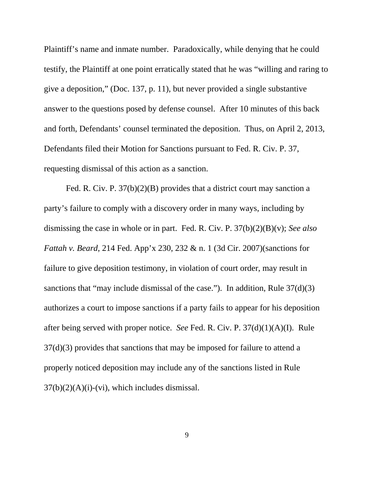Plaintiff's name and inmate number. Paradoxically, while denying that he could testify, the Plaintiff at one point erratically stated that he was "willing and raring to give a deposition," (Doc. 137, p. 11), but never provided a single substantive answer to the questions posed by defense counsel. After 10 minutes of this back and forth, Defendants' counsel terminated the deposition. Thus, on April 2, 2013, Defendants filed their Motion for Sanctions pursuant to Fed. R. Civ. P. 37, requesting dismissal of this action as a sanction.

Fed. R. Civ. P. 37(b)(2)(B) provides that a district court may sanction a party's failure to comply with a discovery order in many ways, including by dismissing the case in whole or in part. Fed. R. Civ. P. 37(b)(2)(B)(v); *See also Fattah v. Beard*, 214 Fed. App'x 230, 232 & n. 1 (3d Cir. 2007)(sanctions for failure to give deposition testimony, in violation of court order, may result in sanctions that "may include dismissal of the case."). In addition, Rule 37(d)(3) authorizes a court to impose sanctions if a party fails to appear for his deposition after being served with proper notice. *See* Fed. R. Civ. P. 37(d)(1)(A)(I). Rule 37(d)(3) provides that sanctions that may be imposed for failure to attend a properly noticed deposition may include any of the sanctions listed in Rule  $37(b)(2)(A)(i)-(vi)$ , which includes dismissal.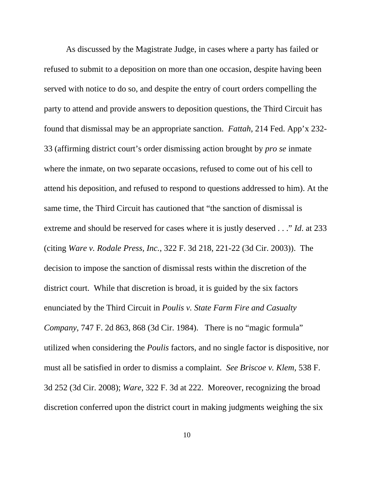As discussed by the Magistrate Judge, in cases where a party has failed or refused to submit to a deposition on more than one occasion, despite having been served with notice to do so, and despite the entry of court orders compelling the party to attend and provide answers to deposition questions, the Third Circuit has found that dismissal may be an appropriate sanction. *Fattah*, 214 Fed. App'x 232- 33 (affirming district court's order dismissing action brought by *pro se* inmate where the inmate, on two separate occasions, refused to come out of his cell to attend his deposition, and refused to respond to questions addressed to him). At the same time, the Third Circuit has cautioned that "the sanction of dismissal is extreme and should be reserved for cases where it is justly deserved . . ." *Id*. at 233 (citing *Ware v. Rodale Press, Inc.*, 322 F. 3d 218, 221-22 (3d Cir. 2003)). The decision to impose the sanction of dismissal rests within the discretion of the district court. While that discretion is broad, it is guided by the six factors enunciated by the Third Circuit in *Poulis v. State Farm Fire and Casualty Company*, 747 F. 2d 863, 868 (3d Cir. 1984). There is no "magic formula" utilized when considering the *Poulis* factors, and no single factor is dispositive, nor must all be satisfied in order to dismiss a complaint. *See Briscoe v. Klem*, 538 F. 3d 252 (3d Cir. 2008); *Ware*, 322 F. 3d at 222. Moreover, recognizing the broad discretion conferred upon the district court in making judgments weighing the six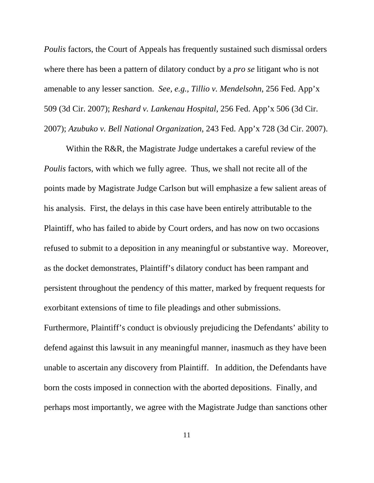*Poulis* factors, the Court of Appeals has frequently sustained such dismissal orders where there has been a pattern of dilatory conduct by a *pro se* litigant who is not amenable to any lesser sanction. *See, e.g., Tillio v. Mendelsohn*, 256 Fed. App'x 509 (3d Cir. 2007); *Reshard v. Lankenau Hospital*, 256 Fed. App'x 506 (3d Cir. 2007); *Azubuko v. Bell National Organization*, 243 Fed. App'x 728 (3d Cir. 2007).

Within the R&R, the Magistrate Judge undertakes a careful review of the *Poulis* factors, with which we fully agree. Thus, we shall not recite all of the points made by Magistrate Judge Carlson but will emphasize a few salient areas of his analysis. First, the delays in this case have been entirely attributable to the Plaintiff, who has failed to abide by Court orders, and has now on two occasions refused to submit to a deposition in any meaningful or substantive way. Moreover, as the docket demonstrates, Plaintiff's dilatory conduct has been rampant and persistent throughout the pendency of this matter, marked by frequent requests for exorbitant extensions of time to file pleadings and other submissions.

Furthermore, Plaintiff's conduct is obviously prejudicing the Defendants' ability to defend against this lawsuit in any meaningful manner, inasmuch as they have been unable to ascertain any discovery from Plaintiff. In addition, the Defendants have born the costs imposed in connection with the aborted depositions. Finally, and perhaps most importantly, we agree with the Magistrate Judge than sanctions other